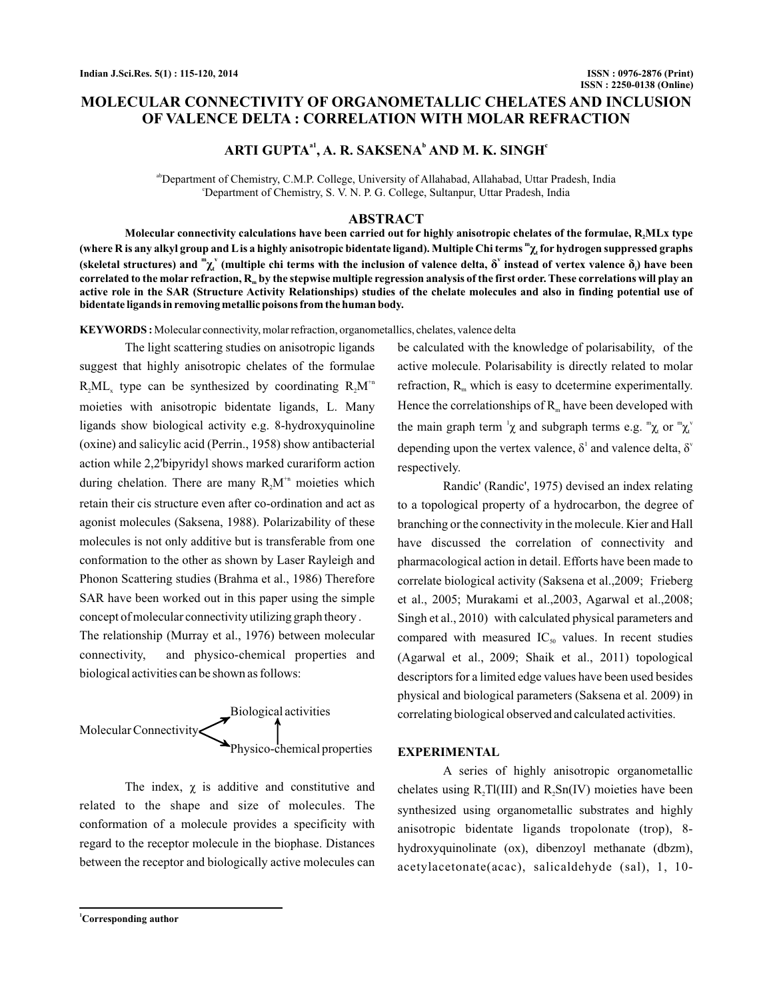# **MOLECULAR CONNECTIVITY OF ORGANOMETALLIC CHELATES AND INCLUSION OF VALENCE DELTA : CORRELATION WITH MOLAR REFRACTION**

# ARTI GUPTA<sup>a1</sup>, A. R. SAKSENA<sup>b</sup> AND M. K. SINGH<sup>c</sup>

abDepartment of Chemistry, C.M.P. College, University of Allahabad, Allahabad, Uttar Pradesh, India <sup>c</sup>Department of Chemistry, S. V. N. P. G. College, Sultanpur, Uttar Pradesh, India

### **ABSTRACT**

Molecular connectivity calculations have been carried out for highly anisotropic chelates of the formulae, **R**<sub>2</sub>MLx type (where **R** is any alkyl group and L is a highly anisotropic bidentate ligand). Multiple Chi terms  ${}^m\chi$  for hydrogen suppressed graphs (skeletal structures) and  $^m\chi^v$  (multiple chi terms with the inclusion of valence delta,  $\delta^v$  instead of vertex valence  $\delta_i$ ) have been correlated to the molar refraction, **R<sub>m</sub> by the stepwise multiple regression** analysis of the first order. These correlations will play an **active role in the SAR (Structure Activity Relationships) studies of the chelate molecules and also in finding potential use of bidentate ligands in removing metallic poisons from the human body.**

**KEYWORDS :** Molecular connectivity, molar refraction, organometallics, chelates, valence delta

The light scattering studies on anisotropic ligands suggest that highly anisotropic chelates of the formulae  $R_2ML_x$  type can be synthesized by coordinating  $R_2M^{+n}$ moieties with anisotropic bidentate ligands, L. Many ligands show biological activity e.g. 8-hydroxyquinoline (oxine) and salicylic acid (Perrin., 1958) show antibacterial action while 2,2'bipyridyl shows marked curariform action during chelation. There are many  $R_2M^{n}$  moieties which retain their cis structure even after co-ordination and act as agonist molecules (Saksena, 1988). Polarizability of these molecules is not only additive but is transferable from one conformation to the other as shown by Laser Rayleigh and Phonon Scattering studies (Brahma et al., 1986) Therefore SAR have been worked out in this paper using the simple concept of molecular connectivity utilizing graph theory .

The relationship (Murray et al., 1976) between molecular connectivity, and physico-chemical properties and biological activities can be shown as follows:



The index,  $\chi$  is additive and constitutive and related to the shape and size of molecules. The conformation of a molecule provides a specificity with regard to the receptor molecule in the biophase. Distances between the receptor and biologically active molecules can

be calculated with the knowledge of polarisability, of the active molecule. Polarisability is directly related to molar refraction,  $R_m$  which is easy to dcetermine experimentally. Hence the correlationships of  $R_m$  have been developed with the main graph term  $\chi$  and subgraph terms e.g.  $\chi$  or  $\chi$ <sub>1</sub> depending upon the vertex valence,  $\delta^1$  and valence delta,  $\delta^y$ respectively.

Randic' (Randic', 1975) devised an index relating to a topological property of a hydrocarbon, the degree of branching or the connectivity in the molecule. Kier and Hall have discussed the correlation of connectivity and pharmacological action in detail. Efforts have been made to correlate biological activity (Saksena et al.,2009; Frieberg et al., 2005; Murakami et al.,2003, Agarwal et al.,2008; Singh et al., 2010) with calculated physical parameters and compared with measured  $IC_{50}$  values. In recent studies (Agarwal et al., 2009; Shaik et al., 2011) topological descriptors for a limited edge values have been used besides physical and biological parameters (Saksena et al. 2009) in correlating biological observed and calculated activities.

#### **EXPERIMENTAL**

A series of highly anisotropic organometallic chelates using  $R_2TI(III)$  and  $R_2Sn(IV)$  moieties have been synthesized using organometallic substrates and highly anisotropic bidentate ligands tropolonate (trop), 8 hydroxyquinolinate (ox), dibenzoyl methanate (dbzm), acetylacetonate(acac), salicaldehyde (sal), 1, 10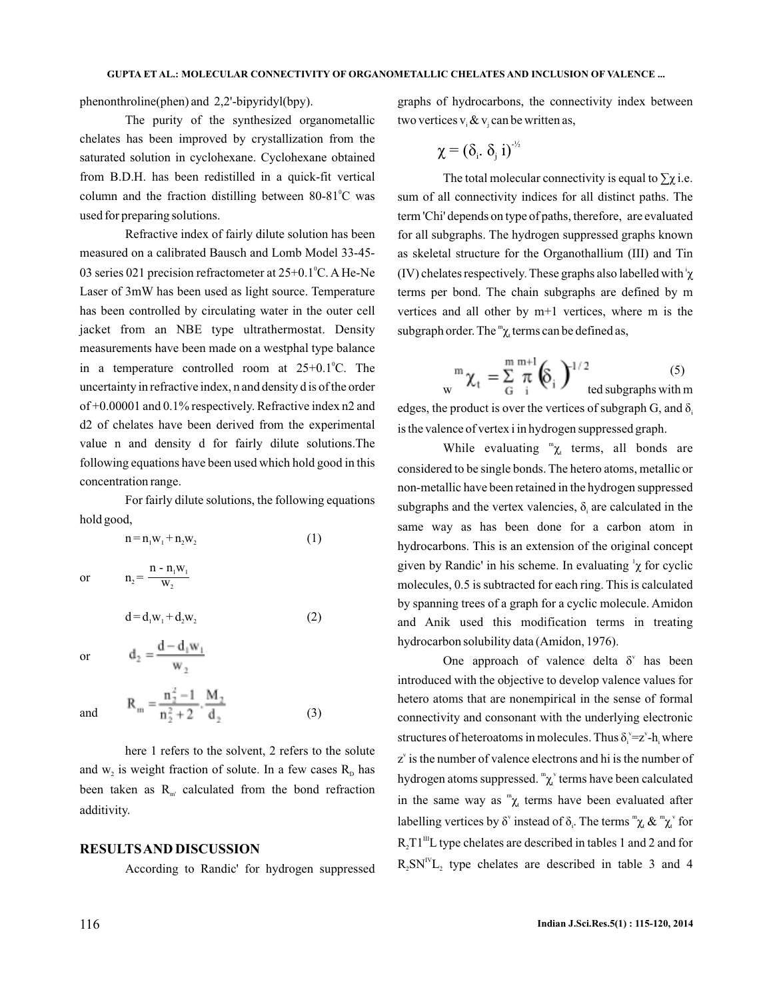phenonthroline(phen) and 2,2'-bipyridyl(bpy).

The purity of the synthesized organometallic chelates has been improved by crystallization from the saturated solution in cyclohexane. Cyclohexane obtained from B.D.H. has been redistilled in a quick-fit vertical column and the fraction distilling between  $80-81^{\circ}$ C was used for preparing solutions.

Refractive index of fairly dilute solution has been measured on a calibrated Bausch and Lomb Model 33-45- 03 series 021 precision refractometer at  $25+0.1^{\circ}$ C. A He-Ne Laser of 3mW has been used as light source. Temperature has been controlled by circulating water in the outer cell jacket from an NBE type ultrathermostat. Density measurements have been made on a westphal type balance in a temperature controlled room at  $25+0.1^{\circ}$ C. The uncertainty in refractive index, n and density d is of the order of +0.00001 and 0.1% respectively. Refractive index n2 and d2 of chelates have been derived from the experimental value n and density d for fairly dilute solutions.The following equations have been used which hold good in this concentration range.

For fairly dilute solutions, the following equations hold good,

 $n = n_1 w_1 + n_2 w_2$  (1)

or  $n_2$  =

$$
\mathbf{d} = \mathbf{d}_1 \mathbf{w}_1 + \mathbf{d}_2 \mathbf{w}_2 \tag{2}
$$

or 
$$
d_2 = \frac{d - d_1 w_1}{w_2}
$$

and 
$$
R_m = \frac{n_2^2 - 1}{n_2^2 + 2} \cdot \frac{M_2}{d_2}
$$
 (3)

here 1 refers to the solvent, 2 refers to the solute and  $w_2$  is weight fraction of solute. In a few cases  $R_p$  has been taken as  $R_{m'}$  calculated from the bond refraction additivity.

#### **RESULTSAND DISCUSSION**

 $n - n_1w$  $\frac{\mathbf{n}_1 \mathbf{w}_1}{\mathbf{W}_2}$ 2

According to Randic' for hydrogen suppressed

graphs of hydrocarbons, the connectivity index between two vertices  $v_i \& v_j$  can be written as,

$$
\chi=(\delta_i,\,\delta_j\,\,i)^{-\frac{1}{2}}
$$

The total molecular connectivity is equal to  $\Sigma \chi$  i.e. sum of all connectivity indices for all distinct paths. The term 'Chi' depends on type of paths, therefore, are evaluated for all subgraphs. The hydrogen suppressed graphs known as skeletal structure for the Organothallium (III) and Tin (IV) chelates respectively. These graphs also labelled with  $\chi$ terms per bond. The chain subgraphs are defined by m vertices and all other by m+1 vertices, where m is the subgraph order. The " $\chi$  terms can be defined as,

$$
{}_{\mathbf{w}}^{\mathbf{m}}\boldsymbol{\chi}_{t} = \sum_{\mathbf{G}}^{\mathbf{m}}\frac{\mathbf{m}^{-1}}{i}\left(\!\boldsymbol{\hat{\mathbf{S}}}_{i}\right)^{1/2} \!\!\!\!\text{ted subgraphs with } \mathbf{m}
$$

edges, the product is over the vertices of subgraph G, and  $\delta_i$ is the valence of vertex i in hydrogen suppressed graph.

While evaluating  ${}^m\chi_t$  terms, all bonds are considered to be single bonds. The hetero atoms, metallic or non-metallic have been retained in the hydrogen suppressed subgraphs and the vertex valencies,  $\delta_i$  are calculated in the same way as has been done for a carbon atom in hydrocarbons. This is an extension of the original concept given by Randic' in his scheme. In evaluating  $\chi$  for cyclic molecules, 0.5 is subtracted for each ring. This is calculated by spanning trees of a graph for a cyclic molecule. Amidon and Anik used this modification terms in treating hydrocarbon solubility data (Amidon, 1976).

One approach of valence delta  $\delta^v$  has been introduced with the objective to develop valence values for hetero atoms that are nonempirical in the sense of formal connectivity and consonant with the underlying electronic structures of heteroatoms in molecules. Thus  $\delta_i^{\nu} = z^{\nu} - h_i$  where  $z<sup>v</sup>$  is the number of valence electrons and hi is the number of hydrogen atoms suppressed.  ${}^{\mathfrak{m}}\chi^{\nu}$  terms have been calculated in the same way as " $\chi$  terms have been evaluated after labelling vertices by  $\delta^{\nu}$  instead of  $\delta_{\nu}$ . The terms  ${}^{\mathfrak{m}}\chi_{\nu} \& {}^{\mathfrak{m}}\chi_{\nu}^{\nu}$  for  $R_2T1^{\text{III}}$ L type chelates are described in tables 1 and 2 and for  $R_2 SN^{\text{IV}}L_2$  type chelates are described in table 3 and 4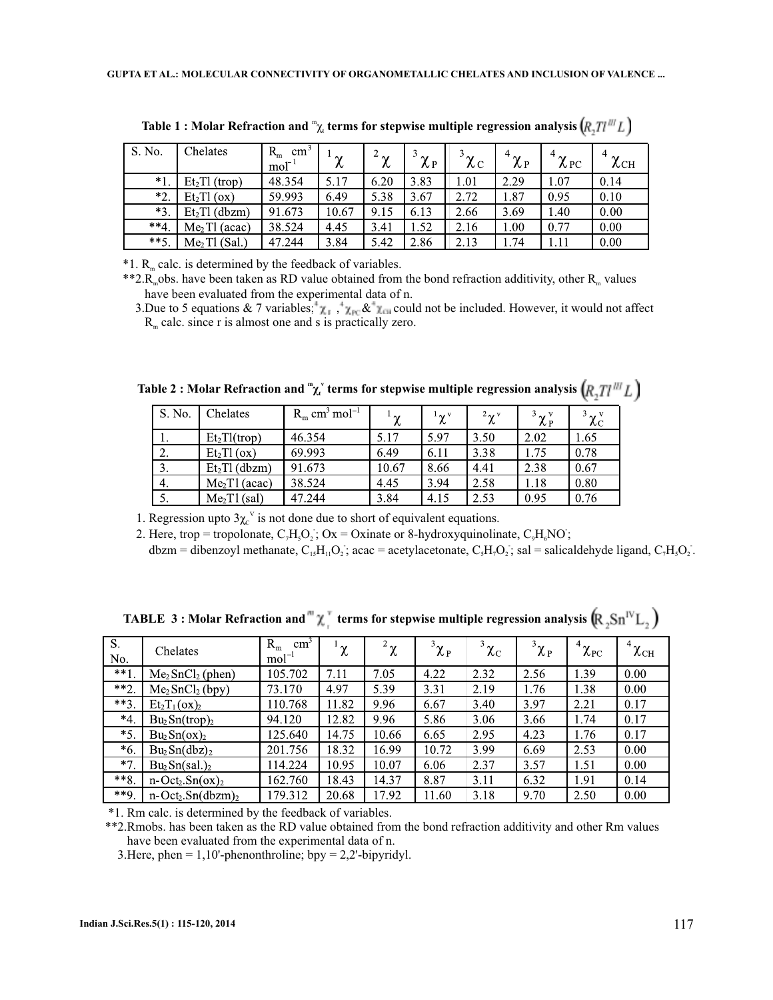| S. No.          | Chelates                  | $R_{m}$<br>cm<br>$\text{mol}^{\text{-}}$ | $\sim$<br>∼ | $4\gamma$<br>v | $\sim$<br>$\lambda$ P | $3\chi_C$ | $4\gamma$<br>λP | $4\gamma$<br>$\lambda$ PC | $\sim$<br>$\chi_{\rm CH}$ |
|-----------------|---------------------------|------------------------------------------|-------------|----------------|-----------------------|-----------|-----------------|---------------------------|---------------------------|
| $*1$            | Et <sub>2</sub> TI (trop) | 48.354                                   | 5.17        | 6.20           | 3.83                  | 1.01      | 2.29            | 1.07                      | 0.14                      |
| $*2.$           | Et <sub>2</sub> TI (ox)   | 59.993                                   | 6.49        | 5.38           | 3.67                  | 2.72      | 1.87            | 0.95                      | 0.10                      |
| $*3.$           | $Et2T1$ (dbzm)            | 91.673                                   | 10.67       | 9.15           | 6.13                  | 2.66      | 3.69            | 1.40                      | 0.00                      |
| $**\mathcal{L}$ | $Me2$ Tl (acac)           | 38.524                                   | 4.45        | 3.41           | 1.52                  | 2.16      | 1.00            | 0.77                      | 0.00                      |
| $**5.$          | $Me2$ Tl (Sal.)           | 47.244                                   | 3.84        | 5.42           | 2.86                  | 2.13      | 1.74            | 1.11                      | 0.00                      |

Table 1 : Molar Refraction and <sup>m</sup><sub>χ,</sub> terms for stepwise multiple regression analysis

 $*1. R<sub>m</sub>$  calc. is determined by the feedback of variables.

\*\*2. $R_{\text{m}}$ obs. have been taken as RD value obtained from the bond refraction additivity, other  $R_{\text{m}}$  values have been evaluated from the experimental data of n.

3.Due to 5 equations & 7 variables;  $\chi_1$ ,  $\chi_{\text{FC}} \& \chi_{\text{CII}}$  could not be included. However, it would not affect  $R<sub>m</sub>$  calc. since r is almost one and s is practically zero.

| S. No. | Chelates                  | $R_m$ cm <sup>3</sup> mol <sup>-1</sup> | $\mathbf{v}^{\mathrm{t}}$ | $\alpha^1 \chi^3$ | $2\chi^v$ | $3\chi_{\rm P}^{\rm v}$ | $\frac{3}{2}\chi_{\mathrm{C}}^{\mathrm{v}}$ |
|--------|---------------------------|-----------------------------------------|---------------------------|-------------------|-----------|-------------------------|---------------------------------------------|
| 1.     | $Et_2Tl(trop)$            | 46.354                                  | 5.17                      | 5.97              | 3.50      | 2.02                    | 1.65                                        |
| 2.     | Et <sub>2</sub> TI (ox)   | 69.993                                  | 6.49                      | 6.11              | 3.38      | 1.75                    | 0.78                                        |
| 3.     | $Et2TI$ (dbzm)            | 91.673                                  | 10.67                     | 8.66              | 4.41      | 2.38                    | 0.67                                        |
| 4.     | Me <sub>2</sub> T1 (acac) | 38.524                                  | 4.45                      | 3.94              | 2.58      | 1.18                    | 0.80                                        |
| 5.     | $Me2$ T1(sal)             | 47.244                                  | 3.84                      | 4.15              | 2.53      | 0.95                    | 0.76                                        |

Table 2 : Molar Refraction and  $\mathbb{T}^\mathsf{v}_\mathcal{X}$  terms for stepwise multiple regression analysis

1. Regression upto  $3\chi_c^{\text{v}}$  is not done due to short of equivalent equations.

2. Here, trop = tropolonate,  $C_7H_5O_2$ ; Ox = Oxinate or 8-hydroxyquinolinate,  $C_9H_6NO$ ;

 $dbzm = dibenzoyl$  methanate,  $C_{15}H_{11}O_2$ ; acac = acetylacetonate,  $C_5H_7O_2$ ; sal = salicaldehyde ligand,  $C_7H_5O_2$ .

| $\overline{S}$ .<br>No. | Chelates                                | $R_{m}$<br>cm <sup>2</sup><br>$mol-1$ | $\sim$<br>λ. | $^{-2}$ $\chi$ | $\boldsymbol{1}^3 \chi_{\text{P}}$ | $\frac{3}{2}\chi_{\mathrm{C}}$ | $\boldsymbol{1}^3 \chi_{\text{P}}$ | $^4\chi_\mathrm{PC}$ | $^4 \chi_{\rm{CH}}$ |
|-------------------------|-----------------------------------------|---------------------------------------|--------------|----------------|------------------------------------|--------------------------------|------------------------------------|----------------------|---------------------|
| $**1$                   | $Me2 SnCl2 (phen)$                      | 105.702                               | 7.11         | 7.05           | 4.22                               | 2.32                           | 2.56                               | 1.39                 | 0.00                |
| $**2.$                  | Me <sub>2</sub> SnCl <sub>2</sub> (bpy) | 73.170                                | 4.97         | 5.39           | 3.31                               | 2.19                           | 1.76                               | 1.38                 | 0.00                |
| $***3.$                 | $Et_2T_1(ox)_2$                         | 110.768                               | 11.82        | 9.96           | 6.67                               | 3.40                           | 3.97                               | 2.21                 | 0.17                |
| $*4.$                   | $Bu_2Sn(trop)_2$                        | 94.120                                | 12.82        | 9.96           | 5.86                               | 3.06                           | 3.66                               | 1.74                 | 0.17                |
| $*5$ .                  | $Bu_2Sn(ox)_2$                          | 125.640                               | 14.75        | 10.66          | 6.65                               | 2.95                           | 4.23                               | 1.76                 | 0.17                |
| $*6.$                   | $Bu_2Sn(dbz)_2$                         | 201.756                               | 18.32        | 16.99          | 10.72                              | 3.99                           | 6.69                               | 2.53                 | 0.00                |
| $*7$                    | $Bu_2Sn(sal.)_2$                        | 14.224                                | 10.95        | 10.07          | 6.06                               | 2.37                           | 3.57                               | 1.51                 | 0.00                |
| $***8.$                 | $n-Oct_2.Sn(ox)_2$                      | 162.760                               | 18.43        | 14.37          | 8.87                               | 3.11                           | 6.32                               | 1.91                 | 0.14                |
| $***9.$                 | $n-Oct_2.Sn(dbzm)_2$                    | 179.312                               | 20.68        | 17.92          | 11.60                              | 3.18                           | 9.70                               | 2.50                 | 0.00                |

**TABLE 3: Molar Refraction and "** $\chi$ <sup>"</sup> terms for stepwise multiple regression analysis  $(\mathbb{R}_2 \text{Sn}^{\text{IV}} \text{L}_2)$ 

\*1. Rm calc. is determined by the feedback of variables.

\*\*2.Rmobs. has been taken as the RD value obtained from the bond refraction additivity and other Rm values have been evaluated from the experimental data of n.

3.Here, phen =  $1,10'$ -phenonthroline; bpy =  $2,2'$ -bipyridyl.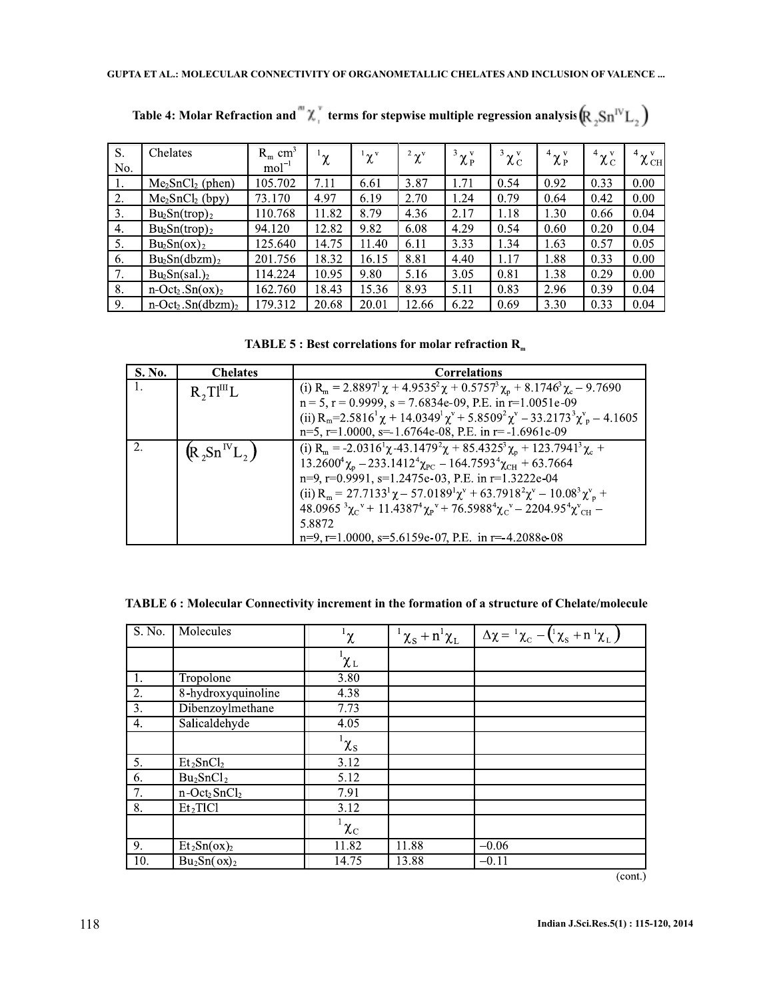| S.  | Chelates                                     | $R_m$ cm <sup>3</sup> | $\mathbf{v}^{\mathrm{t}}$ | $^1\chi$ <sup>v</sup> | $2\chi^v$ | $3\chi_{P}^{\nu}$ | $3\chi^v_{\rm C}$ | $4\chi_P^v$ | $4\chi^{\rm v}_{\rm C}$ | $4\chi_{\rm CH}^{\rm v}$ |
|-----|----------------------------------------------|-----------------------|---------------------------|-----------------------|-----------|-------------------|-------------------|-------------|-------------------------|--------------------------|
| No. |                                              | $mol-1$               | Λ.                        |                       |           |                   |                   |             |                         |                          |
| 1.  | $Me2SnCl2$ (phen)                            | 105.702               | 7.11                      | 6.61                  | 3.87      | 1.71              | 0.54              | 0.92        | 0.33                    | 0.00                     |
| 2.  | Me <sub>2</sub> SnCl <sub>2</sub> (bpy)      | 73.170                | 4.97                      | 6.19                  | 2.70      | .24               | 0.79              | 0.64        | 0.42                    | 0.00                     |
| 3.  | $Bu_2Sn(trop)_2$                             | 110.768               | 11.82                     | 8.79                  | 4.36      | 2.17              | 1.18              | 1.30        | 0.66                    | 0.04                     |
| 4.  | $Bu_2Sn(trop)_2$                             | 94.120                | 12.82                     | 9.82                  | 6.08      | 4.29              | 0.54              | 0.60        | 0.20                    | 0.04                     |
| 5.  | $Bu_2Sn(ox)_2$                               | 125.640               | 14.75                     | 11.40                 | 6.11      | 3.33              | 1.34              | 1.63        | 0.57                    | 0.05                     |
| 6.  | $Bu_2Sn(dbzm)_2$                             | 201.756               | 18.32                     | 16.15                 | 8.81      | 4.40              | 1.17              | 1.88        | 0.33                    | 0.00                     |
| 7.  | $Bu_2Sn(sal.)_2$                             | 114.224               | 10.95                     | 9.80                  | 5.16      | 3.05              | 0.81              | 1.38        | 0.29                    | 0.00                     |
| 8.  | $n-Oct_2.Sn(ox)_2$                           | 162.760               | 18.43                     | 15.36                 | 8.93      | 5.11              | 0.83              | 2.96        | 0.39                    | 0.04                     |
| 9.  | $n$ -Oct <sub>2</sub> .Sn(dbzm) <sub>2</sub> | 79.312                | 20.68                     | 20.01                 | 12.66     | 6.22              | 0.69              | 3.30        | 0.33                    | 0.04                     |

Table 4: Molar Refraction and  $^{\text{m}}\chi_{_1}^{\tau}$  terms for stepwise multiple regression analysis  $\left(\!R_2\!\mathit{Sn}^{\text{IV}}\!\mathit{L}_2\right)$ 

**TABLE 5 : Best correlations for molar refraction R<sup>m</sup>**

| S. No. | <b>Chelates</b>       | <b>Correlations</b>                                                                                                                                                                                 |
|--------|-----------------------|-----------------------------------------------------------------------------------------------------------------------------------------------------------------------------------------------------|
| -1.    | $R_2TI^{\text{III}}L$ | (i) R <sub>m</sub> = 2.8897 <sup>1</sup> $\chi$ + 4.9535 <sup>2</sup> $\chi$ + 0.5757 <sup>3</sup> $\chi$ <sub>p</sub> + 8.1746 <sup>3</sup> $\chi$ <sub>c</sub> – 9.7690                           |
|        |                       | $n = 5$ , $r = 0.9999$ , $s = 7.6834e-09$ , P.E. in $r=1.0051e-09$                                                                                                                                  |
|        |                       | (ii) $R_m$ =2.5816 <sup>1</sup> $\chi$ + 14.0349 <sup>1</sup> $\chi$ <sup>v</sup> + 5.8509 <sup>2</sup> $\chi$ <sup>v</sup> – 33.2173 <sup>3</sup> $\chi$ <sup>v</sup> <sub>n</sub> – 4.1605        |
|        |                       | $n=5$ , $r=1.0000$ , $s=1.6764e-08$ , P.E. in $r=-1.6961e-09$                                                                                                                                       |
|        | $(R_2Sn^{IV}L_2)$     | (i) R <sub>m</sub> = -2.0316 <sup>1</sup> $\chi$ -43.1479 <sup>2</sup> $\chi$ + 85.4325 <sup>3</sup> $\chi$ <sub>0</sub> + 123.7941 <sup>3</sup> $\chi$ <sub>c</sub> +                              |
|        |                       | $13.2600^{4} \chi_{p} - 233.1412^{4} \chi_{PC} - 164.7593^{4} \chi_{CH} + 63.7664$                                                                                                                  |
|        |                       | n=9, r=0.9991, s=1.2475e-03, P.E. in r=1.3222e-04                                                                                                                                                   |
|        |                       | (ii) $R_m = 27.7133^1 \chi - 57.0189^1 \chi^v + 63.7918^2 \chi^v - 10.08^3 \chi^v +$                                                                                                                |
|        |                       | $48.0965^{3}\gamma_{C}$ <sup>v</sup> + 11.4387 <sup>4</sup> $\gamma_{P}$ <sup>v</sup> + 76.5988 <sup>4</sup> $\gamma_{C}$ <sup>v</sup> - 2204.95 <sup>4</sup> $\gamma$ <sup>v</sup> <sub>CH</sub> - |
|        |                       | 5.8872                                                                                                                                                                                              |
|        |                       | $n=9$ , $r=1.0000$ , $s=5.6159e-07$ , P.E. in $r=4.2088e-08$                                                                                                                                        |

| TABLE 6: Molecular Connectivity increment in the formation of a structure of Chelate/molecule |  |  |
|-----------------------------------------------------------------------------------------------|--|--|
|                                                                                               |  |  |

| S. No.           | Molecules                                            | $^1\chi$                | $1\chi_{\rm S}+n^1\chi_{\rm L}$ | $\Delta \chi = {}^{1}\chi_{\text{C}} - ({}^{1}\chi_{\text{s}} + n {}^{1}\chi_{\text{L}})$ |
|------------------|------------------------------------------------------|-------------------------|---------------------------------|-------------------------------------------------------------------------------------------|
|                  |                                                      | $\chi_L$                |                                 |                                                                                           |
| 1.               | Tropolone                                            | 3.80                    |                                 |                                                                                           |
| $\overline{2}$ . | 8-hydroxyquinoline                                   | 4.38                    |                                 |                                                                                           |
| $\overline{3}$ . | Dibenzoylmethane                                     | 7.73                    |                                 |                                                                                           |
| 4.               | Salicaldehyde                                        | 4.05                    |                                 |                                                                                           |
|                  |                                                      | $^{\rm l} \chi_{\rm s}$ |                                 |                                                                                           |
| 5.               | Et <sub>2</sub> SnCl <sub>2</sub>                    | 3.12                    |                                 |                                                                                           |
| 6.               | Bu <sub>2</sub> SnCl <sub>2</sub>                    | 5.12                    |                                 |                                                                                           |
| 7.               | $n$ -Oct <sub>2</sub> SnCl <sub>2</sub>              | 7.91                    |                                 |                                                                                           |
| 8.               | $\overline{\mathrm{Et}_2}\mathrm{TIC1}$              | 3.12                    |                                 |                                                                                           |
|                  |                                                      | $^1\chi_{\rm C}$        |                                 |                                                                                           |
| 9.               | $\overline{\mathrm{Et}}_2\mathrm{Sn}(\mathrm{ox})_2$ | 11.82                   | 11.88                           | $-0.06$                                                                                   |
| 10.              | $Bu_2Sn(ox)_2$                                       | 14.75                   | 13.88                           | $-0.11$                                                                                   |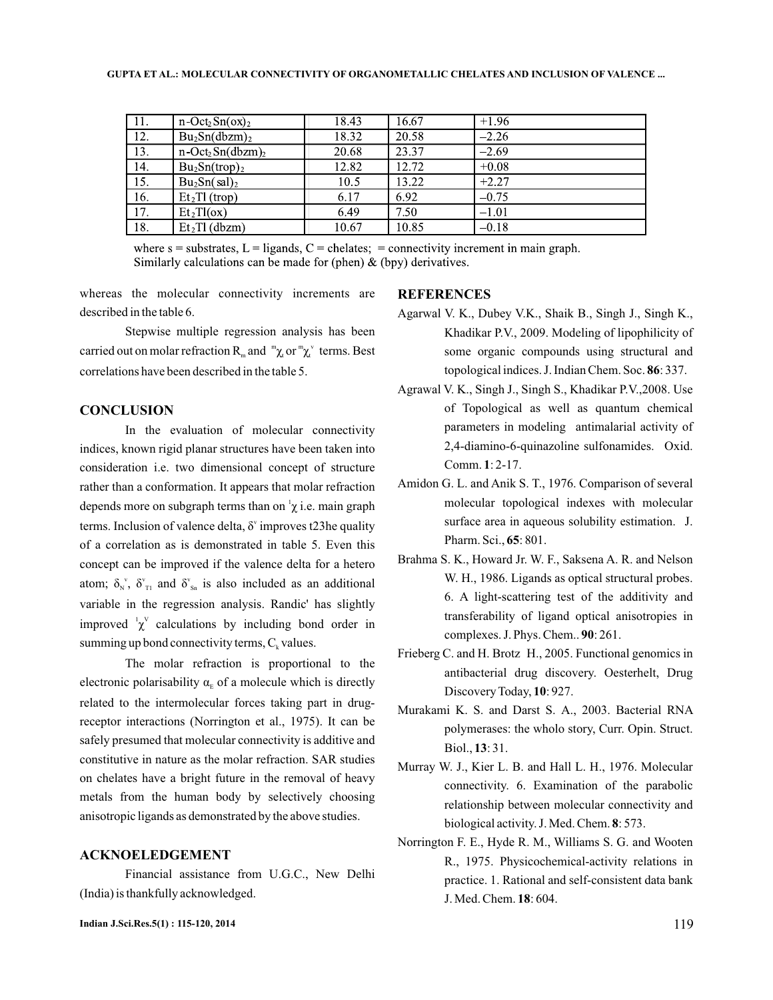| $\overline{11}$ . | $n$ -Oct <sub>2</sub> Sn(ox) <sub>2</sub>   | 18.43 | 16.67 | $+1.96$ |
|-------------------|---------------------------------------------|-------|-------|---------|
| $\overline{12}$ . | $Bu_2Sn(dbzm)_2$                            | 18.32 | 20.58 | $-2.26$ |
| $\overline{13}$ . | $n$ -Oct <sub>2</sub> Sn(dbzm) <sub>2</sub> | 20.68 | 23.37 | $-2.69$ |
| 14.               | $Bu_2Sn(trop)_2$                            | 12.82 | 12.72 | $+0.08$ |
| 15.               | $Bu_2Sn(sal)_2$                             | 10.5  | 13.22 | $+2.27$ |
| 16.               | Et <sub>2</sub> TI (trop)                   | 6.17  | 6.92  | $-0.75$ |
| 17.               | Et <sub>2</sub> TI(ox)                      | 6.49  | 7.50  | $-1.01$ |
| 18.               | $Et2TI$ (dbzm)                              | 10.67 | 10.85 | $-0.18$ |

where  $s =$  substrates,  $L =$  ligands,  $C =$  chelates;  $=$  connectivity increment in main graph. Similarly calculations can be made for (phen)  $\&$  (bpy) derivatives.

whereas the molecular connectivity increments are described in the table 6.

Stepwise multiple regression analysis has been carried out on molar refraction R<sub>m</sub> and  ${}^m\chi$  or  ${}^m\chi$ <sup>v</sup> terms. Best correlations have been described in the table 5.

## **CONCLUSION**

In the evaluation of molecular connectivity indices, known rigid planar structures have been taken into consideration i.e. two dimensional concept of structure rather than a conformation. It appears that molar refraction depends more on subgraph terms than on  $\chi$  i.e. main graph terms. Inclusion of valence delta,  $\delta^{\nu}$  improves t23he quality of a correlation as is demonstrated in table 5. Even this concept can be improved if the valence delta for a hetero atom;  $\delta_{N}^{\nu}$ ,  $\delta_{T1}^{\nu}$  and  $\delta_{Sn}^{\nu}$  is also included as an additional variable in the regression analysis. Randic' has slightly improved  $\chi^V$  calculations by including bond order in summing up bond connectivity terms,  $C_k$  values.

The molar refraction is proportional to the electronic polarisability  $\alpha_{E}$  of a molecule which is directly related to the intermolecular forces taking part in drugreceptor interactions (Norrington et al., 1975). It can be safely presumed that molecular connectivity is additive and constitutive in nature as the molar refraction. SAR studies on chelates have a bright future in the removal of heavy metals from the human body by selectively choosing anisotropic ligands as demonstrated by the above studies.

### **ACKNOELEDGEMENT**

Financial assistance from U.G.C., New Delhi (India) is thankfully acknowledged.

#### **REFERENCES**

- Agarwal V. K., Dubey V.K., Shaik B., Singh J., Singh K., Khadikar P.V., 2009. Modeling of lipophilicity of some organic compounds using structural and topological indices. J. Indian Chem. Soc. 86: 337.
- Agrawal V. K., Singh J., Singh S., Khadikar P.V.,2008. Use of Topological as well as quantum chemical parameters in modeling antimalarial activity of 2,4-diamino-6-quinazoline sulfonamides. Oxid. Comm. 1: 2-17.
- Amidon G. L. and Anik S. T., 1976. Comparison of several molecular topological indexes with molecular surface area in aqueous solubility estimation. J. Pharm. Sci., **65**: 801.
- Brahma S. K., Howard Jr. W. F., Saksena A. R. and Nelson W. H., 1986. Ligands as optical structural probes. 6. A light-scattering test of the additivity and transferability of ligand optical anisotropies in complexes. J. Phys. Chem.. **90**: 261.
- Frieberg C. and H. Brotz H., 2005. Functional genomics in antibacterial drug discovery. Oesterhelt, Drug Discovery Today, 10: 927.
- Murakami K. S. and Darst S. A., 2003. Bacterial RNA polymerases: the wholo story, Curr. Opin. Struct. Biol., **13**: 31.
- Murray W. J., Kier L. B. and Hall L. H., 1976. Molecular connectivity. 6. Examination of the parabolic relationship between molecular connectivity and biological activity. J. Med. Chem. 8: 573.
- Norrington F. E., Hyde R. M., Williams S. G. and Wooten R., 1975. Physicochemical-activity relations in practice. 1. Rational and self-consistent data bank J. Med. Chem. **18**: 604.